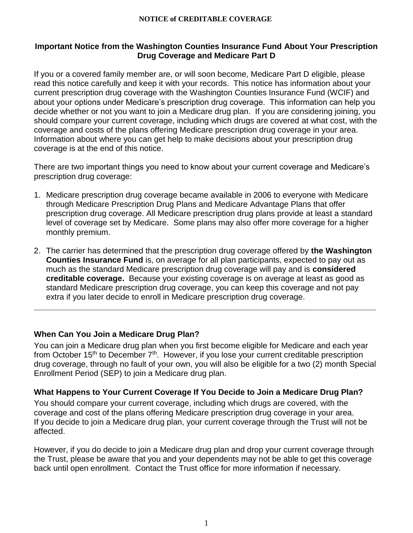#### **NOTICE of CREDITABLE COVERAGE**

### **Important Notice from the Washington Counties Insurance Fund About Your Prescription Drug Coverage and Medicare Part D**

If you or a covered family member are, or will soon become, Medicare Part D eligible, please read this notice carefully and keep it with your records. This notice has information about your current prescription drug coverage with the Washington Counties Insurance Fund (WCIF) and about your options under Medicare's prescription drug coverage. This information can help you decide whether or not you want to join a Medicare drug plan. If you are considering joining, you should compare your current coverage, including which drugs are covered at what cost, with the coverage and costs of the plans offering Medicare prescription drug coverage in your area. Information about where you can get help to make decisions about your prescription drug coverage is at the end of this notice.

There are two important things you need to know about your current coverage and Medicare's prescription drug coverage:

- 1. Medicare prescription drug coverage became available in 2006 to everyone with Medicare through Medicare Prescription Drug Plans and Medicare Advantage Plans that offer prescription drug coverage. All Medicare prescription drug plans provide at least a standard level of coverage set by Medicare. Some plans may also offer more coverage for a higher monthly premium.
- 2. The carrier has determined that the prescription drug coverage offered by **the Washington Counties Insurance Fund** is, on average for all plan participants, expected to pay out as much as the standard Medicare prescription drug coverage will pay and is **considered creditable coverage.** Because your existing coverage is on average at least as good as standard Medicare prescription drug coverage, you can keep this coverage and not pay extra if you later decide to enroll in Medicare prescription drug coverage.

**\_\_\_\_\_\_\_\_\_\_\_\_\_\_\_\_\_\_\_\_\_\_\_\_\_\_\_\_\_\_\_\_\_\_\_\_\_\_\_\_\_\_\_\_\_\_\_\_\_\_\_\_\_\_\_\_\_\_\_\_\_\_\_\_\_\_\_\_\_\_\_\_\_\_\_\_**

# **When Can You Join a Medicare Drug Plan?**

You can join a Medicare drug plan when you first become eligible for Medicare and each year from October 15<sup>th</sup> to December  $7<sup>th</sup>$ . However, if you lose your current creditable prescription drug coverage, through no fault of your own, you will also be eligible for a two (2) month Special Enrollment Period (SEP) to join a Medicare drug plan.

#### **What Happens to Your Current Coverage If You Decide to Join a Medicare Drug Plan?**

You should compare your current coverage, including which drugs are covered, with the coverage and cost of the plans offering Medicare prescription drug coverage in your area. If you decide to join a Medicare drug plan, your current coverage through the Trust will not be affected.

However, if you do decide to join a Medicare drug plan and drop your current coverage through the Trust, please be aware that you and your dependents may not be able to get this coverage back until open enrollment. Contact the Trust office for more information if necessary.